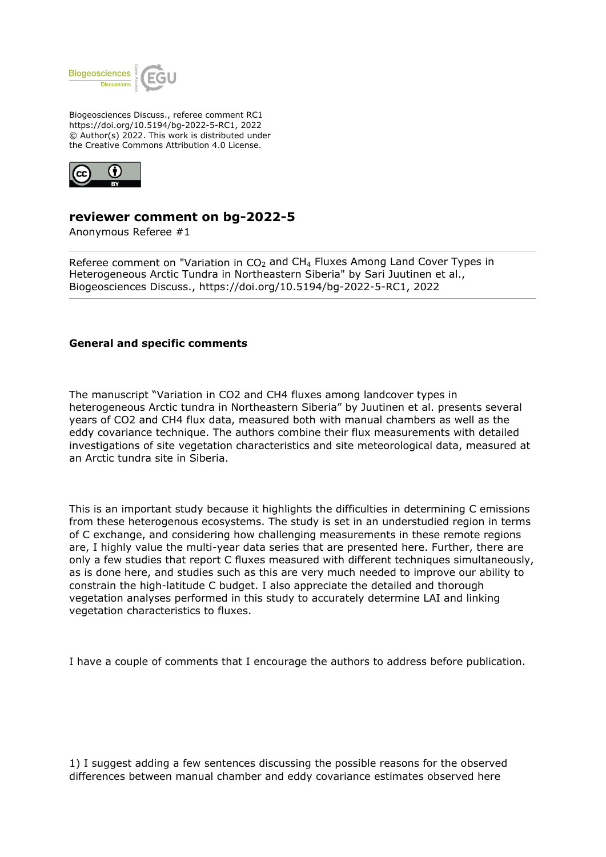

Biogeosciences Discuss., referee comment RC1 https://doi.org/10.5194/bg-2022-5-RC1, 2022 © Author(s) 2022. This work is distributed under the Creative Commons Attribution 4.0 License.



# **reviewer comment on bg-2022-5**

Anonymous Referee #1

Referee comment on "Variation in  $CO<sub>2</sub>$  and CH<sub>4</sub> Fluxes Among Land Cover Types in Heterogeneous Arctic Tundra in Northeastern Siberia" by Sari Juutinen et al., Biogeosciences Discuss., https://doi.org/10.5194/bg-2022-5-RC1, 2022

## **General and specific comments**

The manuscript "Variation in CO2 and CH4 fluxes among landcover types in heterogeneous Arctic tundra in Northeastern Siberia" by Juutinen et al. presents several years of CO2 and CH4 flux data, measured both with manual chambers as well as the eddy covariance technique. The authors combine their flux measurements with detailed investigations of site vegetation characteristics and site meteorological data, measured at an Arctic tundra site in Siberia.

This is an important study because it highlights the difficulties in determining C emissions from these heterogenous ecosystems. The study is set in an understudied region in terms of C exchange, and considering how challenging measurements in these remote regions are, I highly value the multi-year data series that are presented here. Further, there are only a few studies that report C fluxes measured with different techniques simultaneously, as is done here, and studies such as this are very much needed to improve our ability to constrain the high-latitude C budget. I also appreciate the detailed and thorough vegetation analyses performed in this study to accurately determine LAI and linking vegetation characteristics to fluxes.

I have a couple of comments that I encourage the authors to address before publication.

1) I suggest adding a few sentences discussing the possible reasons for the observed differences between manual chamber and eddy covariance estimates observed here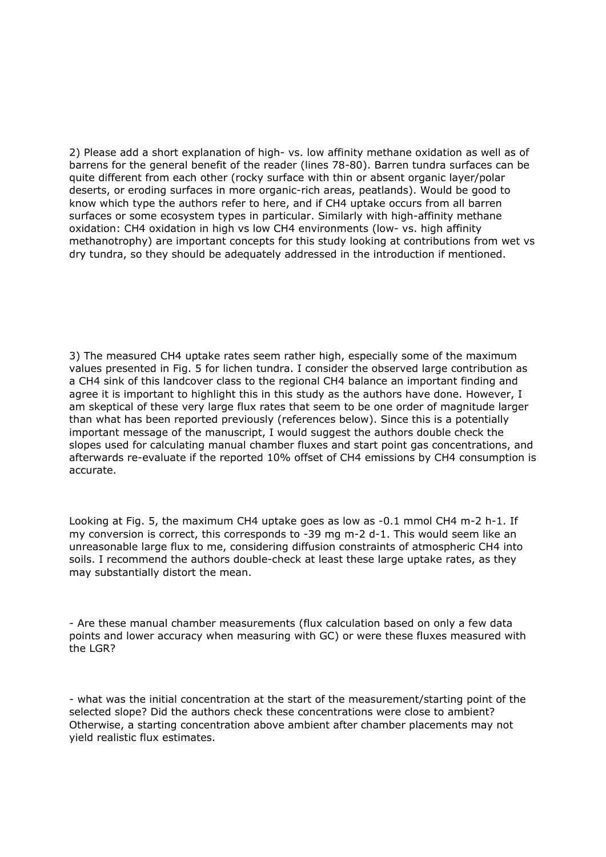2) Please add a short explanation of high- vs. low affinity methane oxidation as well as of barrens for the general benefit of the reader (lines 78-80). Barren tundra surfaces can be quite different from each other (rocky surface with thin or absent organic layer/polar deserts, or eroding surfaces in more organic-rich areas, peatlands). Would be good to know which type the authors refer to here, and if CH4 uptake occurs from all barren surfaces or some ecosystem types in particular. Similarly with high-affinity methane oxidation: CH4 oxidation in high vs low CH4 environments (low- vs. high affinity methanotrophy) are important concepts for this study looking at contributions from wet vs dry tundra, so they should be adequately addressed in the introduction if mentioned.

3) The measured CH4 uptake rates seem rather high, especially some of the maximum values presented in Fig. 5 for lichen tundra. I consider the observed large contribution as a CH4 sink of this landcover class to the regional CH4 balance an important finding and agree it is important to highlight this in this study as the authors have done. However, I am skeptical of these very large flux rates that seem to be one order of magnitude larger than what has been reported previously (references below). Since this is a potentially important message of the manuscript, I would suggest the authors double check the slopes used for calculating manual chamber fluxes and start point gas concentrations, and afterwards re-evaluate if the reported 10% offset of CH4 emissions by CH4 consumption is accurate.

Looking at Fig. 5, the maximum CH4 uptake goes as low as -0.1 mmol CH4 m-2 h-1. If my conversion is correct, this corresponds to -39 mg m-2 d-1. This would seem like an unreasonable large flux to me, considering diffusion constraints of atmospheric CH4 into soils. I recommend the authors double-check at least these large uptake rates, as they may substantially distort the mean.

- Are these manual chamber measurements (flux calculation based on only a few data points and lower accuracy when measuring with GC) or were these fluxes measured with the LGR?

- what was the initial concentration at the start of the measurement/starting point of the selected slope? Did the authors check these concentrations were close to ambient? Otherwise, a starting concentration above ambient after chamber placements may not yield realistic flux estimates.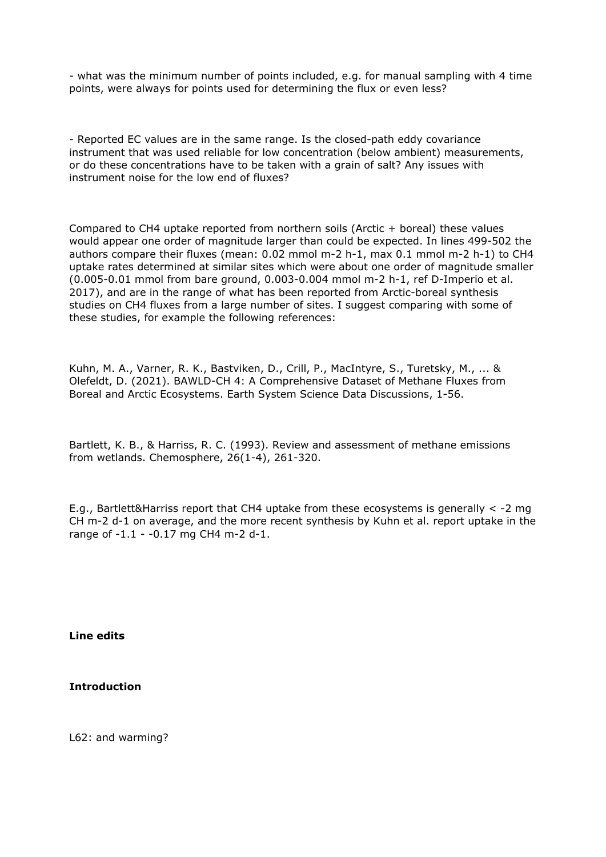- what was the minimum number of points included, e.g. for manual sampling with 4 time points, were always for points used for determining the flux or even less?

- Reported EC values are in the same range. Is the closed-path eddy covariance instrument that was used reliable for low concentration (below ambient) measurements, or do these concentrations have to be taken with a grain of salt? Any issues with instrument noise for the low end of fluxes?

Compared to CH4 uptake reported from northern soils (Arctic + boreal) these values would appear one order of magnitude larger than could be expected. In lines 499-502 the authors compare their fluxes (mean: 0.02 mmol m-2 h-1, max 0.1 mmol m-2 h-1) to CH4 uptake rates determined at similar sites which were about one order of magnitude smaller (0.005-0.01 mmol from bare ground, 0.003-0.004 mmol m-2 h-1, ref D-Imperio et al. 2017), and are in the range of what has been reported from Arctic-boreal synthesis studies on CH4 fluxes from a large number of sites. I suggest comparing with some of these studies, for example the following references:

Kuhn, M. A., Varner, R. K., Bastviken, D., Crill, P., MacIntyre, S., Turetsky, M., ... & Olefeldt, D. (2021). BAWLD-CH 4: A Comprehensive Dataset of Methane Fluxes from Boreal and Arctic Ecosystems. Earth System Science Data Discussions, 1-56.

Bartlett, K. B., & Harriss, R. C. (1993). Review and assessment of methane emissions from wetlands. Chemosphere, 26(1-4), 261-320.

E.g., Bartlett&Harriss report that CH4 uptake from these ecosystems is generally < -2 mg CH m-2 d-1 on average, and the more recent synthesis by Kuhn et al. report uptake in the range of -1.1 - -0.17 mg CH4 m-2 d-1.

**Line edits**

**Introduction**

L62: and warming?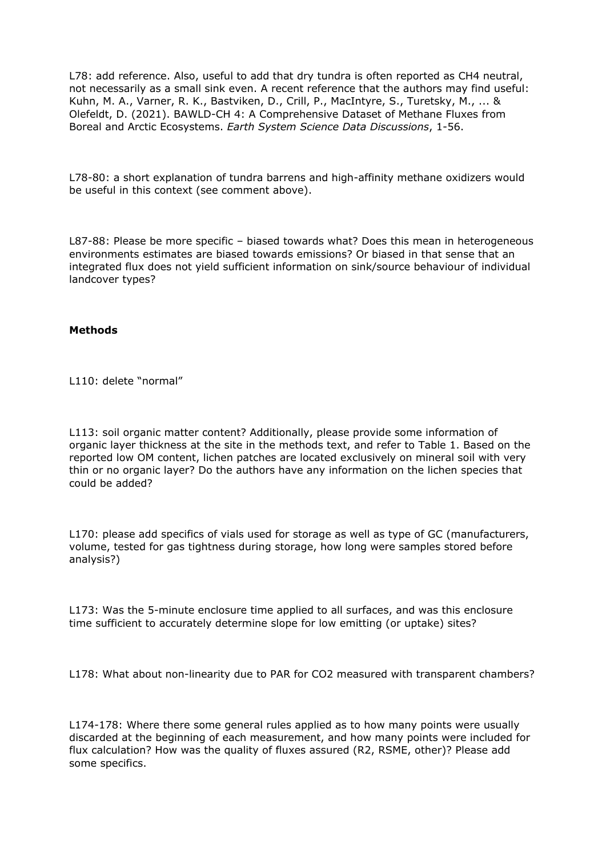L78: add reference. Also, useful to add that dry tundra is often reported as CH4 neutral, not necessarily as a small sink even. A recent reference that the authors may find useful: Kuhn, M. A., Varner, R. K., Bastviken, D., Crill, P., MacIntyre, S., Turetsky, M., ... & Olefeldt, D. (2021). BAWLD-CH 4: A Comprehensive Dataset of Methane Fluxes from Boreal and Arctic Ecosystems. *Earth System Science Data Discussions*, 1-56.

L78-80: a short explanation of tundra barrens and high-affinity methane oxidizers would be useful in this context (see comment above).

L87-88: Please be more specific – biased towards what? Does this mean in heterogeneous environments estimates are biased towards emissions? Or biased in that sense that an integrated flux does not yield sufficient information on sink/source behaviour of individual landcover types?

## **Methods**

L110: delete "normal"

L113: soil organic matter content? Additionally, please provide some information of organic layer thickness at the site in the methods text, and refer to Table 1. Based on the reported low OM content, lichen patches are located exclusively on mineral soil with very thin or no organic layer? Do the authors have any information on the lichen species that could be added?

L170: please add specifics of vials used for storage as well as type of GC (manufacturers, volume, tested for gas tightness during storage, how long were samples stored before analysis?)

L173: Was the 5-minute enclosure time applied to all surfaces, and was this enclosure time sufficient to accurately determine slope for low emitting (or uptake) sites?

L178: What about non-linearity due to PAR for CO2 measured with transparent chambers?

L174-178: Where there some general rules applied as to how many points were usually discarded at the beginning of each measurement, and how many points were included for flux calculation? How was the quality of fluxes assured (R2, RSME, other)? Please add some specifics.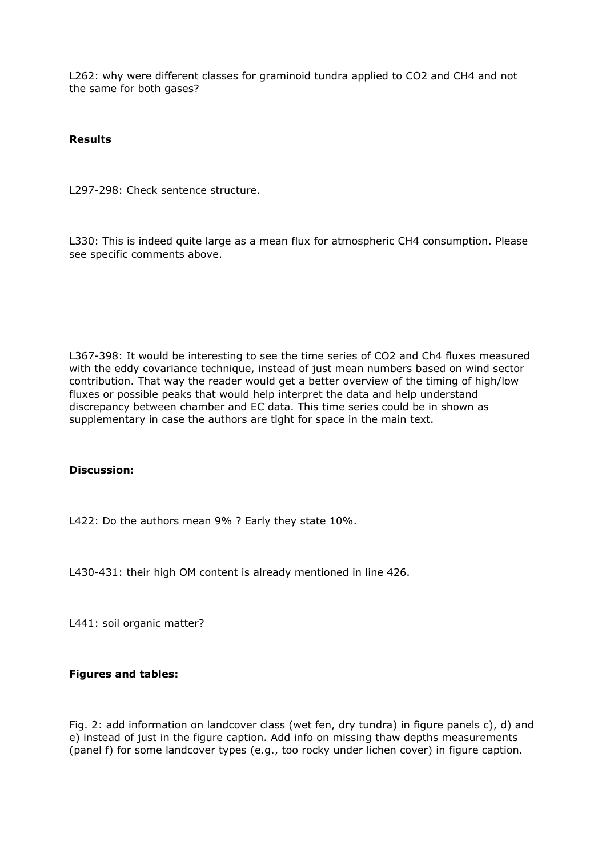L262: why were different classes for graminoid tundra applied to CO2 and CH4 and not the same for both gases?

# **Results**

L297-298: Check sentence structure.

L330: This is indeed quite large as a mean flux for atmospheric CH4 consumption. Please see specific comments above.

L367-398: It would be interesting to see the time series of CO2 and Ch4 fluxes measured with the eddy covariance technique, instead of just mean numbers based on wind sector contribution. That way the reader would get a better overview of the timing of high/low fluxes or possible peaks that would help interpret the data and help understand discrepancy between chamber and EC data. This time series could be in shown as supplementary in case the authors are tight for space in the main text.

# **Discussion:**

L422: Do the authors mean 9% ? Early they state 10%.

L430-431: their high OM content is already mentioned in line 426.

L441: soil organic matter?

# **Figures and tables:**

Fig. 2: add information on landcover class (wet fen, dry tundra) in figure panels c), d) and e) instead of just in the figure caption. Add info on missing thaw depths measurements (panel f) for some landcover types (e.g., too rocky under lichen cover) in figure caption.